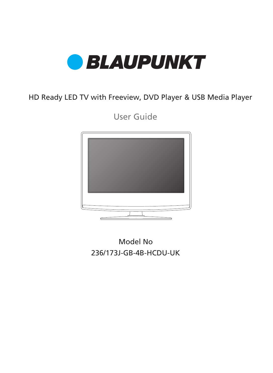

## HD Ready LED TV with Freeview, DVD Player & USB Media Player

User Guide



236/173J-GB-4B-HCDU-UK Model No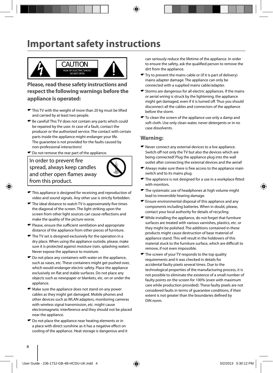## **Important safety instructions**



**Please, read these safety instructions and respect the following warnings before the appliance is operated:**

- $\bullet$  This TV with the weight of more than 20 kg must be lifted and carried by at least two people.
- Be careful! This TV does not contain any parts which could be repaired by the user. In case of a fault, contact the producer or the authorized service. The contact with certain parts inside the appliance might endanger your life. The guarantee is not provided for the faults caused by non-professional interactions!
- $\bullet$  Do not remove the rear part of the appliance.

#### In order to prevent fire spread, always keep candles and other open flames away from this product.



- $\blacktriangleright$  This appliance is designed for receiving and reproduction of video and sound signals. Any other use is strictly forbidden.
- $\blacktriangleright$  The ideal distance to watch TV is approximately five times the diagonal of the screen. The light striking upon the screen from other light sources can cause reflections and make the quality of the picture worse.
- $\blacktriangleright$  Please, ensure the sufficient ventilation and appropriate distance of the appliance from other pieces of furniture.
- $\blacktriangleright$  The TV set is designed exclusively for the operation in a dry place. When using the appliance outside, please, make sure it is protected against moisture (rain, splashing water). Never expose the appliance to moisture.
- $\bullet$  Do not place any containers with water on the appliance, such as vases, etc. These containers might get pushed over, which would endanger electric safety. Place the appliance exclusively on flat and stable surfaces. Do not place any objects such as newspaper or blankets, etc. on or under the appliance.
- $\bullet$  Make sure the appliance does not stand on any power cables as they might get damaged. Mobile phones and other devices such as WLAN adapters, monitoring cameras with wireless signal transmission, etc. might cause electromagnetic interference and they should not be placed near the appliance.
- $\bullet$  Do not place the appliance near heating elements or in a place with direct sunshine as it has a negative effect on cooling of the appliance. Heat storage is dangerous and it

can seriously reduce the lifetime of the appliance. In order to ensure the safety, ask the qualified person to remove the dirt from the appliance.

- $\blacktriangleright$  Try to prevent the mains cable or (if it is part of delivery) mains adapter damage. The appliance can only be connected with a supplied mains cable/adapter.
- Storms are dangerous for all electric appliances. If the mains or aerial wiring is struck by the lightening, the appliance might get damaged, even if it is turned off. Thus you should disconnect all the cables and connectors of the appliance before the storm.
- $\bullet$  To clean the screen of the appliance use only a damp and soft cloth. Use only clean water, never detergents or in no case dissolvents.

#### **Warning:**

- Never connect any external devices to a live appliance. Switch off not only the TV but also the devices which are being connected! Plug the appliance plug into the wall outlet after connecting the external devices and the aerial!
- Always make sure there is free access to the appliance main switch and to its mains plug.
- $\blacktriangleright$  The appliance is not designed for a use in a workplace fitted with monitors.
- $\bullet$  The systematic use of headphones at high volume might lead to irreversible hearing damage.
- Ensure environmental disposal of this appliance and any components including batteries. When in doubt, please, contact your local authority for details of recycling.
- While installing the appliance, do not forget that furniture surfaces are treated with various varnishes, plastics, etc. or they might be polished. The additions contained in these products might cause destruction of base material of appliance stand. This will result in the holdovers of this material stuck to the furniture surface, which are difficult to remove, if not even impossible.
- The screen of your TV responds to the top quality requirements and it was checked in details for accidental faulty pixels several times. Due to the technological properties of the manufacturing process, it is not possible to eliminate the existence of a small number of faulty points on the screen for 100% (even with maximum care while production provided). These faulty pixels are not considered faults in terms of guarantee conditions, if their extent is not greater than the boundaries defined by DIN norm.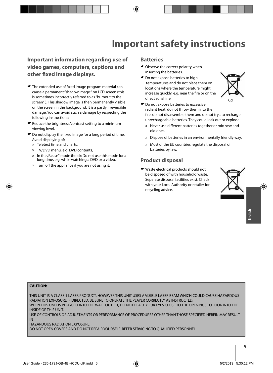### **Important information regarding use of video games, computers, captions and other fi xed image displays.**

- $\blacktriangleright$  The extended use of fixed image program material can cause a permanent "shadow image " on LCD screen (this is sometimes incorrectly referred to as "burnout to the screen" ). This shadow image is then permanently visible on the screen in the background. It is a partly irreversible damage. You can avoid such a damage by respecting the following instructions:
- $\bullet$  Reduce the brightness/contrast setting to a minimum viewing level.
- $\bullet$  Do not display the fixed image for a long period of time. Avoid displaying of:
	- » Teletext time and charts,
	- » TV/DVD menu, e.g. DVD contents,
	- In the "Pause" mode (hold): Do not use this mode for a long time, e.g. while watching a DVD or a video.
	- » Turn off the appliance if you are not using it.

#### **Batteries**

- $\bullet$  Observe the correct polarity when inserting the batteries.
- $\bullet$  Do not expose batteries to high temperatures and do not place them on locations where the temperature might increase quickly, e.g. near the fire or on the direct sunshine.



- $\bullet$  Do not expose batteries to excessive radiant heat, do not throw them into the fire, do not disassemble them and do not try ato recharge unrechargeable batteries. They could leak out or explode.
	- » Never use different batteries together or mix new and old ones.
	- » Dispose of batteries in an environmentally friendly way.
	- » Most of the EU countries regulate the disposal of batteries by law.

#### **Product disposal**

Waste electrical products should not be disposed of with household waste. Separate disposal facilities exist. Check with your Local Authority or retailer for recycling advice.



#### **CAUTION:**

THIS UNIT IS A CLASS 1 LASER PRODUCT. HOWEVER THIS UNIT USES A VISIBLE LASER BEAM WHICH COULD CAUSE HAZARDOUS RADIATION EXPOSURE IF DIRECTED. BE SURE TO OPERATE THE PLAYER CORRECTLY AS INSTRUCTED. WHEN THIS UNIT IS PLUGGED INTO THE WALL OUTLET, DO NOT PLACE YOUR EYES CLOSE TO THE OPENINGS TO LOOK INTO THE

INSIDE OF THIS UNIT. USE OF CONTROLS OR ADJUSTMENTS OR PERFORMANCE OF PROCEDURES OTHER THAN THOSE SPECIFIED HEREIN MAY RESULT

IN

HAZARDOUS RADIATION EXPOSURE.

DO NOT OPEN COVERS AND DO NOT REPAIR YOURSELF. REFER SERVICING TO QUALIFIED PERSONNEL.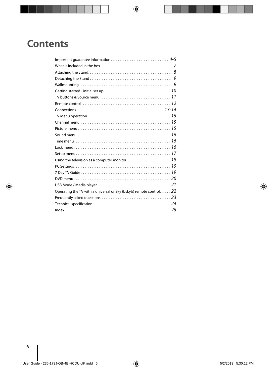## **Contents**

| Operating the TV with a universal or Sky (bskyb) remote control 22 |  |
|--------------------------------------------------------------------|--|
|                                                                    |  |
|                                                                    |  |
|                                                                    |  |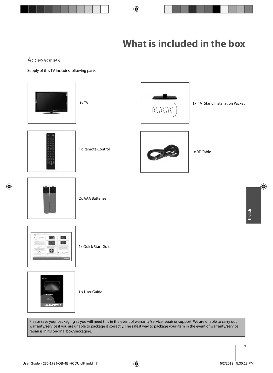## Accessories

Supply of this TV includes following parts:



Please save your packaging as you will need this in the event of warranty/service repair or support. We are unable to carry out warranty/service if you are unable to package it correctly. The safest way to package your item in the event of warranty/service repair is in it's original box/packaging.

1 x User Guide

**BLAUPUNKT**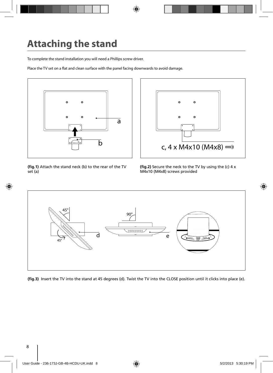# **Attaching the stand**

To complete the stand installation you will need a Phillips screw driver.

Place the TV set on a flat and clean surface with the panel facing downwards to avoid damage.



(fig.1) Attach the stand neck (b) to the rear of the TV set (a)



(fig.2) Secure the neck to the TV by using the (c) 4 x M4x10 (M4x8) screws provided



(fig.3) Insert the TV into the stand at 45 degrees (d). Twist the TV into the CLOSE position until it clicks into place (e).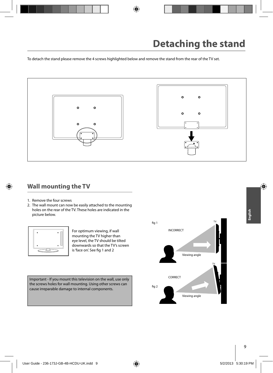To detach the stand please remove the 4 screws highlighted below and remove the stand from the rear of the TV set.



### **Wall mounting the TV**

- 1. Remove the four screws
- 2. The wall mount can now be easily attached to the mounting holes on the rear of the TV. These holes are indicated in the picture below.



For optimum viewing, if wall mounting the TV higher than eye level, the TV should be tilted downwards so that the TV's screen is 'face on'. See fig 1 and 2

Important - If you mount this television on the wall, use only the screws holes for wall mounting. Using other screws can cause irreparable damage to internal components.

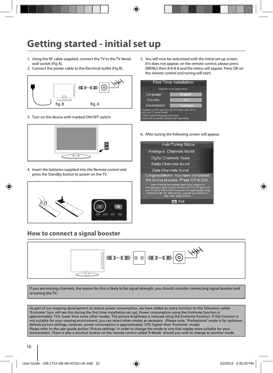# **Getting started - initial set up**

- 1. Using the RF cable supplied, connect the TV to the TV Aerial wall socket (Fig A).
- 2. Connect the power cable to the Electrical outlet (Fig B).



3. Turn on the device with marked ON/OFF switch



4. Insert the batteries supplied into the Remote control and press the Standby button to power on the TV.



## **How to connect a signal booster**

5. You will now be welcomed with the initial set-up screen. If it does not appear, on the remote control, please press [MENU] then 8-8-8-8 and the menu will appear. Press OK on the remote control and tuning will start.



6. After tuning the following screen will appear.

| <b>Auto Tuning Status</b>                                                                                                                                                                                                                                                           |  |
|-------------------------------------------------------------------------------------------------------------------------------------------------------------------------------------------------------------------------------------------------------------------------------------|--|
| Analogue Channels found                                                                                                                                                                                                                                                             |  |
| Digital Channels found                                                                                                                                                                                                                                                              |  |
| Radio Channels found                                                                                                                                                                                                                                                                |  |
| Data Channels found                                                                                                                                                                                                                                                                 |  |
| Congratulations. You have completed<br>the tuning process. Press OK to Exit.                                                                                                                                                                                                        |  |
| Note: If not all the channels were found, please try<br>connnecting a signal booster between the TV's RF input and<br>your TV aerial wall socket to improve the signal quality being<br>received by the TV. Alternatively, upgrade your Aerial to a<br>'High Gain' digital version. |  |
| OK                                                                                                                                                                                                                                                                                  |  |
|                                                                                                                                                                                                                                                                                     |  |



If you are missing channels, the reason for this is likely to be signal strength, you should consider connecting signal booster and re-tuning the TV.

As part of our ongoing development to reduce power consumption, we have added an extra function to this Television called 'Ecohome' (you will see this during the first time installation set up). Power consumption using the Ecohome function is approximately 15% lower than some other modes. The picture brightness is reduced using the Ecohome function. If this function is not suitable for your viewing environment, you can select other modes as necessary. (Please note, 'Professional' mode is for optimum default picture settings, however, power consumption is approximately 15% higher than 'Ecohome' mode) Please refer to the user guide section 'Picture settings' in order to change the mode to one that maybe more suitable for your environment. There is also a shortcut button on the remote control called 'P-Mode' should you wish to change to another mode.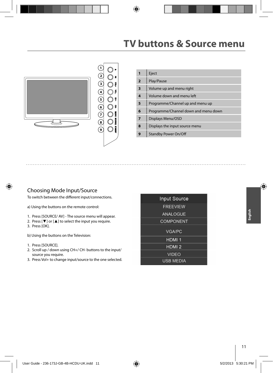## **TV buttons & Source menu**



| 1              | Eject                                |
|----------------|--------------------------------------|
| $\overline{2}$ | Play/Pause                           |
| 3              | Volume up and menu right             |
| 4              | Volume down and menu left            |
| 5              | Programme/Channel up and menu up     |
| 6              | Programme/Channel down and menu down |
| $\overline{7}$ | Displays Menu/OSD                    |
| 8              | Displays the input source menu       |
|                | <b>Standby Power On/Off</b>          |

#### Choosing Mode Input/Source

To switch between the different input/connections.

a) Using the buttons on the remote control:

- 1. Press [SOURCE/ AV] The source menu will appear.
- 2. Press [▼] or [▲] to select the input you require.
- 3. Press [OK].

b) Using the buttons on the Television:

- 1. Press [SOURCE].
- 2. Scroll up / down using CH+/ CH- buttons to the input/ source you require.
- 3. Press Vol+ to change input/source to the one selected.

| <b>Input Source</b> |
|---------------------|
| <b>FREEVIEW</b>     |
| ANAL OGUE           |
| <b>COMPONENT</b>    |
| <b>VGA/PC</b>       |
| HDMI <sub>1</sub>   |
| HDMI <sub>2</sub>   |
| <b>VIDEO</b>        |
| <b>USB MEDIA</b>    |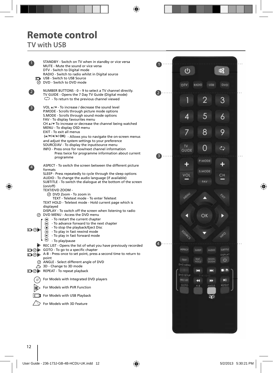# **Remote control**

## **TV with USB**

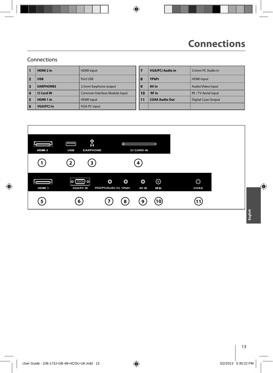### Connections

| п                       | HDMI <sub>2</sub> in | <b>HDMI</b> input             | 7              | <b>VGA(PC) Audio in</b> | 3.5mm PC Audio in          |
|-------------------------|----------------------|-------------------------------|----------------|-------------------------|----------------------------|
|                         | <b>USB</b>           | Port USB                      | 8              | <b>YPbPr</b>            | <b>HDMI</b> input          |
| $\overline{\mathbf{3}}$ | <b>EARPHONES</b>     | 3.5mm Earphone output         | $\overline{9}$ | AV in                   | Audio/Video Input          |
| $\overline{4}$          | CI Card IN           | Common Interface Module Input | 10             | <b>RF</b> in            | RF / TV Aerial input       |
| 5                       | HDMI 1 in            | <b>HDMI</b> input             | 11             | <b>COAX Audio Out</b>   | <b>Digital Coax Output</b> |
| 6                       | <b>VGA(PC) In</b>    | <b>VGA-PC input</b>           |                |                         |                            |

| 7  | <b>VGA(PC)</b> Audio in | 3.5mm PC Audio in          |
|----|-------------------------|----------------------------|
| 8  | <b>YPbPr</b>            | <b>HDMI</b> input          |
| 9  | AV in                   | Audio/Video Input          |
| 10 | <b>RF</b> in            | RF / TV Aerial input       |
| 11 | <b>COAX Audio Out</b>   | <b>Digital Coax Output</b> |
|    |                         |                            |

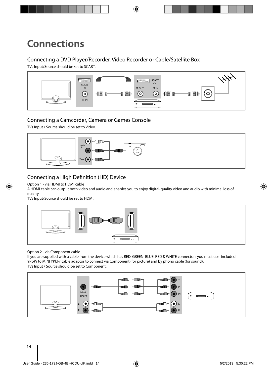### Connecting a DVD Player/Recorder, Video Recorder or Cable/Satellite Box

TVs Input/Source should be set to SCART.



### Connecting a Camcorder, Camera or Games Console

TVs Input / Source should be set to Video.



### Connecting a High Definition (HD) Device

Option 1 - via HDMI to HDMI cable

A HDMI cable can output both video and audio and enables you to enjoy digital-quality video and audio with minimal loss of quality.

TVs Input/Source should be set to HDMI.



Option 2 - via Component cable.

If you are supplied with a cable from the device which has RED, GREEN, BLUE, RED & WHITE connectors you must use included YPbPr to MINI YPbPr cable adaptor to connect via Component (for picture) and by phono cable (for sound). TVs Input / Source should be set to Component.

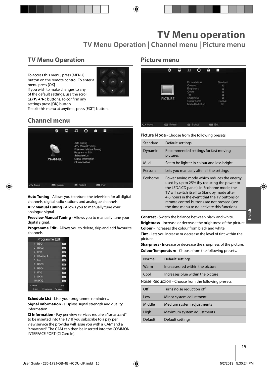## **TV Menu Operation**

To access this menu, press [MENU] button on the remote control. To enter a menu press [OK]



If you wish to make changes to any of the default settings, use the scroll  $(A/\nabla/\nabla)$  buttons. To confirm any settings press [OK] button.

To exit this menu at anytime, press [EXIT] button.

## **Channel menu**



**Auto Tuning** - Allows you to retune the television for all digital channels, digital radio stations and analogue channels.

**ATV Manual Tuning** - Allows you to manually tune your analogue signal.

**Freeview Manual Tuning** - Allows you to manually tune your digital signal.

**Programme Edit** - Allows you to delete, skip and add favourite channels.

|                        | Programme Edit |
|------------------------|----------------|
| 1 BBC1                 | and.           |
| $2$ BBC <sub>2</sub>   | . Effe-        |
| $3$ ITV1               | 187            |
| 4 Channel 4            | 10791          |
| 5 five                 | 1894           |
| $6. \overline{B}$ BBC3 | (177)          |
| 7 BBC4                 | 100            |
| B ITV2                 | -sty.          |
| 9 SKY1                 | <b>CFE</b>     |
| <b>10 SKY2</b>         | . pre-         |
| Detete                 | s u            |
| O OK                   |                |

**Schedule List** - Lists your programme reminders. **Signal Information** - Displays signal strength and quality information.

**CI Information** - Pay per view services require a "smartcard" to be inserted into the TV. If you subscribe to a pay per view service the provider will issue you with a 'CAM' and a "smartcard". The CAM can then be inserted into the COMMON INTERFACE PORT (CI Card In).

#### **Picture menu**

|         | 姿                | ₽ | л                                                                   | ര                                              | ê | Ħ                                                      |  |
|---------|------------------|---|---------------------------------------------------------------------|------------------------------------------------|---|--------------------------------------------------------|--|
|         | <b>PICTURE</b>   |   | Contrast<br><b>Brightness</b><br>Colour<br>Tint<br><b>Sharpness</b> | Picture Mode<br>Colour Temp<br>Noise Reduction |   | Standard<br>50<br>50<br>50<br>50<br>50<br>Normal<br>On |  |
| ._ Move | <b>EE</b> Return |   | ne.                                                                 | Select                                         |   | ton Ext                                                |  |

**Picture Mode** - Choose from the following presets.

| Standard | Default settings                                                                                                                                                                                                                                                                                                                     |
|----------|--------------------------------------------------------------------------------------------------------------------------------------------------------------------------------------------------------------------------------------------------------------------------------------------------------------------------------------|
| Dynamic  | Recommended settings for fast moving<br>pictures                                                                                                                                                                                                                                                                                     |
| Mild     | Set to be lighter in colour and less bright                                                                                                                                                                                                                                                                                          |
| Personal | Lets you manually alter all the settings                                                                                                                                                                                                                                                                                             |
| Ecohome  | Power saving mode which reduces the energy<br>used by up to 25% (by reducing the power to<br>the LED/LCD panel). In Ecohome mode, the<br>TV will switch itself to Standby mode after<br>4-5 hours in the event that the TV buttons or<br>remote control buttons are not pressed (see<br>the time menu to de-activate this function). |

**Contrast** - Switch the balance between black and white. **Brightness** - Increase or decrease the brightness of the picture. **Colour** - Increases the colour from black and white.

**Tint** - Lets you increase or decrease the level of tint within the picture.

**Sharpness** - Increase or decrease the sharpness of the picture. **Colour Temperature** - Choose from the following presets.

| Normal                                               | Default settings                  |  |  |
|------------------------------------------------------|-----------------------------------|--|--|
| Warm                                                 | Increases red within the picture  |  |  |
| Cool                                                 | Increases blue within the picture |  |  |
| Noise Reduction - Choose from the following presets. |                                   |  |  |

| Off     | Turns noise reduction off  |
|---------|----------------------------|
| Low     | Minor system adjustment    |
| Middle  | Medium system adjustments  |
| High    | Maximum system adjustments |
| Default | Default settings           |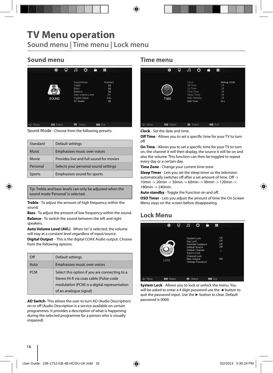## **TV Menu operation**

**Sound menu | Time menu | Lock menu**

## **Sound menu**

|         | 蓉                 | Φ | æ                                                    | $\circ$                                           | A | Ŧ                                              |  |
|---------|-------------------|---|------------------------------------------------------|---------------------------------------------------|---|------------------------------------------------|--|
|         | SOUND             |   | <b>Treble</b><br><b>Bass</b><br>Balance<br>AD Switch | Sound Mode<br>Auto Volume Level<br>Digital Output |   | Standard<br>50<br>50<br>50<br>On<br>Auto<br>50 |  |
| C+ Move | <b>EEB</b> Return |   | or                                                   | Select                                            |   | m Ext                                          |  |

**Sound Mode** - Choose from the following presets:

| Standard      | Default settings                        |
|---------------|-----------------------------------------|
| <b>Music</b>  | Emphasises music over voices            |
| Movie         | Provides live and full sound for movies |
| Personal      | Selects your personal sound settings    |
| <b>Sports</b> | Emphasises sound for sports             |

Tip: Treble and bass levels can only be adjusted when the sound mode 'Personal' is selected.

**Treble** - To adjust the amount of high frequency within the sound.

**Bass** - To adjust the amount of low frequency within the sound. **Balance** - To switch the sound between the left and right speakers.

**Auto Volume Level (AVL)** - When 'on' is selected, the volume will stay at a constant level regardless of input/source.

**Digital Output** - This is the digital COAX Audio output. Choose from the following options:

| Off        | Default settings                                                                                                                                                   |
|------------|--------------------------------------------------------------------------------------------------------------------------------------------------------------------|
| Auto       | Emphasises music over voices                                                                                                                                       |
| <b>PCM</b> | Select this option if you are connecting to a<br>Stereo Hi-fi via coax cable (Pulse-code<br>modulation (PCM) is a digital representation<br>of an analogue signal) |

**AD Switch**- This allows the user to turn AD (Audio Description) on or off (Audio Description is a service available on certain programmes. It provides a description of what is happening during the selected programme for a person who is visually impaired)

#### **Time menu**

|          | 资                | ₽ | л                                                                     | O            | ô | - 11                                                    |
|----------|------------------|---|-----------------------------------------------------------------------|--------------|---|---------------------------------------------------------|
|          | TIME             |   | Clock<br>Off Time<br>On Time<br>Time Zone<br>Sleep Timer<br>OSD Timer | Auto Standby |   | 04/Aug 10:00<br>Off<br>Off<br>Off<br>Off<br>Off<br>30 s |
| +2+ Move | <b>Em</b> Return |   | <b>m</b> Select                                                       |              |   | <b>Dial</b> Exit                                        |

**Clock** - Set the date and time.

**Off Time** - Allows you to set a specific time for your TV to turn off.

**On Time** - Allows you to set a specific time for your TV to turn on, the channel it will then display, the source it will be on and also the volume. This function can then be toggled to repeat every day or a certain day.

**Time Zone** - Change your current time zone

**Sleep Timer** - Lets you set the sleep timer so the television automatically switches off after a set amount of time. Off -> 10min -> 20min -> 30min -> 60min -> 90min -> 120min -> 180min -> 240min.

Auto standby - Toggle the Function on and off.

**OSD Timer** - Lets you adjust the amount of time the On Screen Menu stays on the screen before disappearing

## **Lock Menu**



**System Lock** - Allows you to lock or unlock the menu. You will be asked to enter a 4 digit password use the **◄** button to quit the password input. Use the **►** button to clear. Default password is 0000.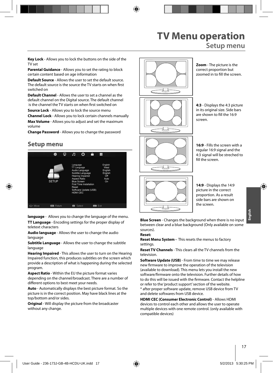## **TV Menu operation Setup menu**

**Key Lock** - Allows you to lock the buttons on the side of the TV set

**Parental Guidance** - Allows you to set the rating to block certain content based on age information

**Default Source** - Allows the user to set the default source. The default source is the source the TV starts on when first switched on

**Default Channel** - Allows the user to set a channel as the default channel on the Digital source. The default channel is the channel the TV starts on when first switched on

**Source Lock** - Allows you to lock the source menu

**Channel Lock** - Allows you to lock certain channels manually

**Max Volume** - Allows you to adjust and set the maximum volume

**Change Password** - Allows you to change the password

### **Setup menu**



**language** - Allows you to change the language of the menu. **TT Language** - Encoding settings for the proper display of teletext characters

**Audio language** - Allows the user to change the audio language

**Subtitle Language** - Allows the user to change the subtitle language

**Hearing Impaired** - This allows the user to turn on the Hearing Impaired function, this produces subtitles on the screen which provide a description of what is happening during the selected program.

**Aspect Ratio** - Within the EU the picture format varies depending on the channel/broadcast. There are a number of different options to best meet your needs.

**Auto** - Automatically displays the best picture format. So the picture is in the correct position. May have black lines at the top/bottom and/or sides.

**Original** - Will display the picture from the broadcaster without any change.



**Zoom** - The picture is the correct proportion but zoomed in to fill the screen.

**4:3** - Displays the 4:3 picture in its original size. Side bars are shown to fill the 16:9 screen.

**16:9** - Fills the screen with a regular 16:9 signal and the 4:3 signal will be streched to fill the screen



**14:9** - Displays the 14:9 picture in the correct proportion. As a result side bars are shown on the screen.

**Blue Screen** - Changes the background when there is no input between clear and a blue background (Only available on some sources).

#### **Reset:**

**Reset Menu System -** This resets the menus to factory settings.

**Reset TV Channels** - This clears all the TV channels from the television.

**Software Update (USB)** - From time to time we may release new firmware to improve the operation of the television (available to download). This menu lets you install the new software/firmware onto the television. Further details of how to do this will be issued with the firmware. Contact the helpline or refer to the 'product support' section of the website. \* after proper software update, remove USB device from TV and delete softwares from USB device.

**HDMI CEC (Consumer Electronic Control)** - Allows HDMI devices to control each other and allows the user to operate multiple devices with one remote control. (only available with compatible devices)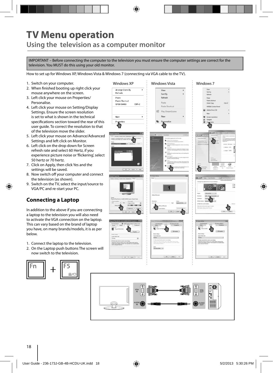## **TV Menu operation Using the television as a computer monitor**

IMPORTANT – Before connecting the computer to the television you must ensure the computer settings are correct for the television. You MUST do this using your old monitor.

How to set up for Windows XP, Windows Vista & Windows 7 (connecting via VGA cable to the TV).

- 1. Switch on your computer.
- 2. When finished booting up right click your mouse anywhere on the screen.
- 3. Left click your mouse on Properties/ Personalise.
- 4. Left click your mouse on Setting/Display Settings. Ensure the screen resolution is set to what is shown in the technical specifications section toward the rear of this user guide. To correct the resolution to that of the television move the slider.
- 5. Left click your mouse on Advance/Advanced Settings and left click on Monitor.
- 6. Left click on the drop down for Screen refresh rate and select 60 Hertz, if you experience picture noise or 'flickering', select 50 hertz or 70 hertz.
- 7. Click on Apply, then click Yes and the settings will be saved.
- 8. Now switch off your computer and connect the television (as shown).
- 9. Switch on the TV, select the input/source to VGA/PC and re-start your PC.

### **Connecting a Laptop**

In addition to the above if you are connecting a laptop to the television you will also need to activate the VGA connection on the laptop. This can vary based on the brand of laptop you have, on many brands/models, it is as per below.

- 1. Connect the laptop to the television.
- 2. On the Laptop push buttons The screen will now switch to the television.



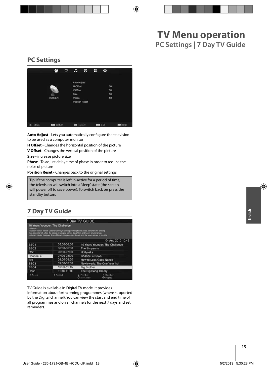### **PC Settings**



**Auto Adjust** - Lets you automatically confi gure the television to be used as a computer monitor

**H Offset** - Changes the horizontal position of the picture

**V Offset** - Changes the vertical position of the picture

**Size** - increase picture size

**Phase** - To adjust delay time of phase in order to reduce the noise of picture

**Position Reset** - Changes back to the original settings

Tip: If the computer is left in-active for a period of time, the television will switch into a 'sleep' state (the screen  $\vert$  will power off to save power). To switch back on press the **Postandby button. Position Resetting back to the original settings** 

## **7 Day TV Guide**

|                     |                                                                                                                                                                                                                                                                                                                         | 7 Day TV GUIDE                 |                                 |  |
|---------------------|-------------------------------------------------------------------------------------------------------------------------------------------------------------------------------------------------------------------------------------------------------------------------------------------------------------------------|--------------------------------|---------------------------------|--|
| Season <sub>2</sub> | 10 Years Younger: The Challenge<br>Support worker Janice Cassidy's lifestyle of long working hours and a penchant for tanning<br>has taken its toll, while the stress of bringing up two daughters and heavy smoking has<br>affected interior designer Shere Morady. Surgeon Jan Starek and the team set out to provide |                                |                                 |  |
|                     |                                                                                                                                                                                                                                                                                                                         |                                | 04 Aug 2010 10:42               |  |
| BBC <sub>1</sub>    | 05:00-06:00                                                                                                                                                                                                                                                                                                             |                                | 10 Years Younger: The Challenge |  |
| BBC <sub>2</sub>    | 06:00-06:30                                                                                                                                                                                                                                                                                                             | The Simpsons                   |                                 |  |
| ITV1                | 06:30-07:00                                                                                                                                                                                                                                                                                                             | Hollyoaks                      |                                 |  |
| Channel 4           | 07:00-08:00                                                                                                                                                                                                                                                                                                             | Channel 4 News                 |                                 |  |
| five                | 08:00-09:00                                                                                                                                                                                                                                                                                                             |                                | How to Look Good Naked          |  |
| BBC <sub>3</sub>    | 09:00-10:00                                                                                                                                                                                                                                                                                                             |                                | Newlyweds: The One Year Itch    |  |
| BBC4                | 10:00-11:15                                                                                                                                                                                                                                                                                                             | <b>Big Brother</b>             |                                 |  |
| ITV2                | 11:15-11:45                                                                                                                                                                                                                                                                                                             | The Big Bang Theory            |                                 |  |
| * Record            | * Remind                                                                                                                                                                                                                                                                                                                | Prev.Day<br><b>Patove View</b> | Next Day<br><b>O</b> Display    |  |

TV Guide is available in Digital TV mode. It provides

information about forthcoming programmes (where supported by the Digital channel). You can view the start and end time of all programmes and on all channels for the next 7 days and set reminders.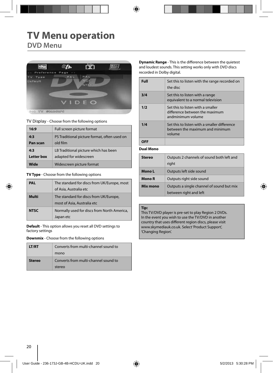## **TV Menu operation DVD Menu**



**TV Display** - Choose from the following options

| 16:9              | Full screen picture format                   |
|-------------------|----------------------------------------------|
| 4:3               | PS Traditional picture format, often used on |
| Pan scan          | old film                                     |
| 4:3               | LB Traditional picture which has been        |
| <b>Letter box</b> | adapted for widescreen                       |
| Wide              | Widescreen picture format                    |

**TV Type** - Choose from the following options

| PAL         | The standard for discs from UK/Europe, most<br>of Asia, Australia etc |
|-------------|-----------------------------------------------------------------------|
| Multi       | The standard for discs from UK/Europe,<br>most of Asia, Australia etc |
| <b>NTSC</b> | Normally used for discs from North America,<br>Japan etc              |

**Default** - This option allows you reset all DVD settings to factory settings

**Downmix** - Choose from the following options

| LT/RT  | Converts from multi-channel sound to |
|--------|--------------------------------------|
|        | mono                                 |
| Stereo | Converts from multi-channel sound to |
|        | stereo                               |

**Dynamic Range** - This is the difference between the quietest and loudest sounds. This setting works only with DVD discs recorded in Dolby digital.

| Full | Set this to listen with the range recorded on<br>the disc                                 |
|------|-------------------------------------------------------------------------------------------|
| 3/4  | Set this to listen with a range<br>equivalent to a normal television                      |
| 1/2  | Set this to listen with a smaller<br>difference between the maximum<br>andminimum volume  |
| 1/4  | Set this to listen with a smaller difference<br>between the maximum and minimum<br>volume |
|      |                                                                                           |

**Dual Mono**

| Stereo   | Outputs 2 channels of sound both left and<br>right                  |
|----------|---------------------------------------------------------------------|
| Mono L   | Outputs left side sound                                             |
| Mono R   | Outputs right side sound                                            |
| Mix mono | Outputs a single channel of sound but mix<br>between right and left |

#### **Tip:**

This TV/DVD player is pre-set to play Region 2 DVDs. In the event you wish to use the TV/DVD in another country that uses different region discs, please visit www.skymediauk.co.uk. Select 'Product Support', 'Changing Region'.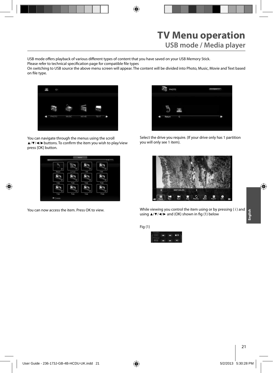USB mode offers playback of various different types of content that you have saved on your USB Memory Stick.

Please refer to technical specification page for compatible file types

On switching to USB source the above menu screen will appear. The content will be divided into Photo, Music, Movie and Text based on file type.



You can navigate through the menus using the scroll ▲/▼/◀/► buttons. To confirm the item you wish to play/view press [OK] button.



You can now access the item. Press OK to view.



Select the drive you require. (If your drive only has 1 partition you will only see 1 item).



While viewing you control the item using or by pressing ( i ) and using  $\triangle$ /▼/◀/► and (OK) shown in fig (1) below

Fig (1)

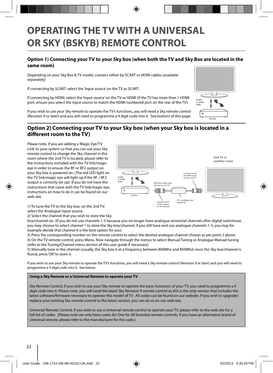## **OPERATING THE TV WITH A UNIVERSAL OR SKY (BSKYB) REMOTE CONTROL**

#### **Option 1) Connecting your TV to your Sky box (when both the TV and Sky Box are located in the same room)**

Depending on your Sky Box & TV model, connect either by SCART or HDMI cables (available separately)

If connecting by SCART, select the 'Input source' on the TV as SCART.

If connecting by HDMI, select the 'Input source' on the TV as HDMI (if the TV has more than 1 HDMI port, ensure you select the input source to match the HDMI numbered port on the rear of the TV)

If you wish to use your Sky remote to operate the TV's functions, you will need a Sky remote control (Revision 9 or later) and you will need to programme a 4 digit code into it. See bottom of this page.

#### **Option 2) Connecting your TV to your Sky box (when your Sky box is located in a**  different room to the TV)

Please note, if you are adding a 'Magic Eye/TV Link' to your system so that you can use your Sky remote control to change the Sky channel in the room where the 2nd TV is located, please refer to the instructions included with the TV link/magic eye in order to ensure the RF or RF2 output on your Sky box is powered on. (The red LED light on the TV link/magic eye will light up if the RF / RF2 output is correctly set up) If you do not have the instructions that came with the TV link/magic eye, instructions on how to do it can be found on our web site.



1) To tune the TV to the Sky box, on the 2nd TV, select the 'Analogue' input source.

2) Select the channel that you wish to store the Sky

box/channel on. (If you do not use channels 1-5 because you no longer have analogue terrestrial channels after digital switchover, you may choose to select channel 1 to store the Sky box/channel, if you still have and use analogue channels 1-5, you may for example decide that channel 6 is the best option for you)

3) Press the corresponding number on the remote control to select the desired analogue channel chosen as per point 2 above. 4) On the TV remote control, press Menu. Now navigate through the menus to select Manual Tuning or Analogue Manual tuning (refer to the Tuning/Channel menu section of this user guide if necessary)

5) Manually tune in the channel (usually, the Sky box is at a frequency between 800Mhz and 850Mhz) once the Sky box/channel is found, press 'OK' to store it.

If you wish to use your Sky remote to operate the TV's functions, you will need a Sky remote control (Revision 9 or later) and you will need to programme a 4 digit code into it. See below.

#### **Using a Sky Remote or a Universal Remote to operate your TV**

Sky Remote Control, If you wish to use your Sky remote to operate the basic functions of your TV, you need to programme a 4 digit code into it. Please note. you will need the latest Sky Revision 9 remote control as this is the only version that includes the latest software/firmware necessary to operate this model of TV. All codes can be found on our website. If you wish to upgrade/ replace your existing Sky remote control to the latest version, you can do so on our web site.

Universal Remote Control, If you wish to use a Universal remote control to operate your TV, please refer to the web site for a full list of codes. (Please note we only have codes for One for All branded remote controls, if you have an alternative brand of Universal remote, please refer to the manufacturer for the code.)

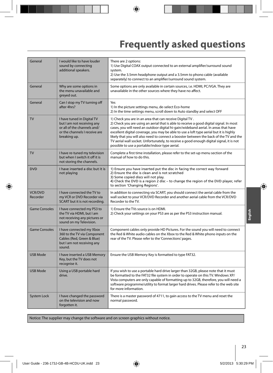# **Frequently asked questions**

| General                    | I would like to have louder<br>sound by connecting<br>additional speakers.                                                               | There are 2 options:<br>1) Use Digital COAX output connected to an external amplifier/surround sound<br>system.<br>2) Use the 3.5mm headphone output and a 3.5mm to phono cable (available<br>separately) to connect to an amplifier/surround sound system.                                                                                                                                                                                                                                                                                                                  |
|----------------------------|------------------------------------------------------------------------------------------------------------------------------------------|------------------------------------------------------------------------------------------------------------------------------------------------------------------------------------------------------------------------------------------------------------------------------------------------------------------------------------------------------------------------------------------------------------------------------------------------------------------------------------------------------------------------------------------------------------------------------|
| General                    | Why are some options in<br>the menu unavailable and<br>greyed out.                                                                       | Some options are only available in certain sources, i.e. HDMI, PC/VGA. They are<br>unavailable in the other sources where they have no affect.                                                                                                                                                                                                                                                                                                                                                                                                                               |
| General                    | Can I stop my TV turning off<br>after 4hrs?                                                                                              | Yes<br>1) In the picture settings menu, de-select Eco-home<br>2) In the time settings menu, scroll down to Auto standby and select OFF                                                                                                                                                                                                                                                                                                                                                                                                                                       |
| <b>TV</b>                  | I have tuned in Digital TV<br>but I am not receiving any<br>or all of the channels and/<br>or the channels I receive are<br>breaking up. | 1) Check you are in an area that can receive Digital TV.<br>2) Check you are using an aerial that is able to receive a good digital signal. In most<br>cases, you will need an outdoor digital hi-gain/wideband aerial. In areas that have<br>excellent digital coverage, you may be able to use a loft type aerial but it is highly<br>likely that you will also need to connect a booster between the back of the TV and the<br>TV aerial wall socket. Unfortunately, to receive a good enough digital signal, it is not<br>possible to use a portable/indoor type aerial. |
| <b>TV</b>                  | I have re-tuned my television<br>but when I switch it off it is<br>not storing the channels.                                             | Complete a first time installation, please refer to the set-up menu section of the<br>manual of how to do this.                                                                                                                                                                                                                                                                                                                                                                                                                                                              |
| <b>DVD</b>                 | I have inserted a disc but it is<br>not playing                                                                                          | 1) Ensure you have inserted put the disc in facing the correct way forward<br>2) Ensure the disc is clean and is not scratched<br>3) Some copied discs will not play.<br>4) Check the DVD is a region 2 disc - to change the region of the DVD player, refer<br>to section 'Changing Regions'.                                                                                                                                                                                                                                                                               |
| <b>VCR/DVD</b><br>Recorder | I have connected the TV to<br>my VCR or DVD Recorder via<br>SCART but it is not recording.                                               | In addition to connecting via SCART, you should connect the aerial cable from the<br>wall socket to your VCR/DVD Recorder and another aerial cable from the VCR/DVD<br>Recorder to the TV.                                                                                                                                                                                                                                                                                                                                                                                   |
| <b>Game Consoles</b>       | I have connected my PS3 to<br>the TV via HDMI, but I am<br>not receiving any pictures or<br>sound on my Television.                      | 1) Ensure the TVs source is on HDMI.<br>2) Check your settings on your PS3 are as per the PS3 instruction manual.                                                                                                                                                                                                                                                                                                                                                                                                                                                            |
| <b>Game Consoles</b>       | I have connected my Xbox<br>360 to the TV via Component<br>Cables (Red, Green & Blue)<br>but I am not receiving any<br>sound.            | Component cables only provide HD Pictures. For the sound you will need to connect<br>the Red & White audio cables on the Xbox to the Red & White phono inputs on the<br>rear of the TV. Please refer to the 'Connections' pages.                                                                                                                                                                                                                                                                                                                                             |
| <b>USB Mode</b>            | I have inserted a USB Memory<br>Key, but the TV does not<br>recognise it.                                                                | Ensure the USB Memory Key is formatted to type FAT32.                                                                                                                                                                                                                                                                                                                                                                                                                                                                                                                        |
| <b>USB Mode</b>            | Using a USB portable hard<br>drive.                                                                                                      | If you wish to use a portable hard drive larger than 32GB, please note that it must<br>be formatted to the FAT32 file system in order to operate on this TV. Windows XP/<br>Vista computers are only capable of formatting up to 32GB, therefore, you will need a<br>software programme/utility to format larger hard drives. Please refer to the web site<br>for more information.                                                                                                                                                                                          |
| System Lock                | I have changed the password<br>on the television and now<br>forgotten it.                                                                | There is a master password of 4711, to gain access to the TV menu and reset the<br>normal password.                                                                                                                                                                                                                                                                                                                                                                                                                                                                          |

Notice: The supplier may change the software and on screen graphics without notice.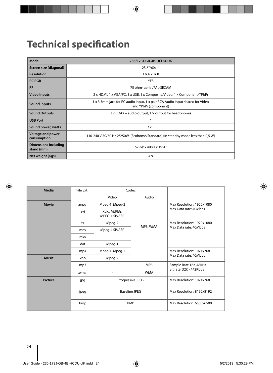# **Technical specification**

| Model                                     | 236/173J-GB-4B-HCDU-UK                                                                                |
|-------------------------------------------|-------------------------------------------------------------------------------------------------------|
| Screen size (diagonal)                    | 23.6"/60cm                                                                                            |
| <b>Resolution</b>                         | 1366 x 768                                                                                            |
| <b>PC RGB</b>                             | <b>YES</b>                                                                                            |
| <b>RF</b>                                 | 75 ohm- aerial/PAL-SECAM                                                                              |
| <b>Video Inputs</b>                       | 2 x HDMI, 1 x VGA/PC, 1 x USB, 1 x Composite/Video, 1 x Component/YPbPr                               |
| <b>Sound Inputs</b>                       | 1 x 3.5mm jack for PC audio input, 1 x pair RCA Audio input shared for Video<br>and YPbPr (component) |
| <b>Sound Outputs</b>                      | $1 \times$ COAX – audio output, $1 \times$ output for headphones                                      |
| <b>USB Port</b>                           |                                                                                                       |
| Sound power, watts                        | $2 \times 5$                                                                                          |
| <b>Voltage and power</b><br>consumption   | 110-240 V 50/60 Hz 25/50W (Ecohome/Standard) (in standby mode less than 0,5 W)                        |
| <b>Dimensions including</b><br>stand (mm) | 579W x 408H x 195D                                                                                    |
| Net weight (Kgs)                          | 4.9                                                                                                   |

| Media          | File Ext. | Codec                         |                                       |                                                    |
|----------------|-----------|-------------------------------|---------------------------------------|----------------------------------------------------|
|                |           | Video                         | Audio                                 |                                                    |
| <b>Movie</b>   | .mpg      | Mpeg-1, Mpeg-2                |                                       | Max Resolution: 1920x1080<br>Max Data rate: 40Mbps |
|                | .avi      | Xvid, MJPEG,<br>MPEG-4 SP/ASP |                                       |                                                    |
|                | .ts       | Mpeg-2                        |                                       | Max Resolution: 1920x1080                          |
|                | .mov      | Mpeg-4 SP/ASP                 | MP3, WMA                              | Max Data rate: 40Mbps                              |
|                | .mkv      |                               |                                       |                                                    |
|                | .dat      | Mpeg-1                        |                                       |                                                    |
|                | .mp4      | Mpeg-1, Mpeg-2                |                                       | Max Resolution: 1024x768                           |
| <b>Music</b>   | vob.      | Mpeg-2                        |                                       | Max Data rate: 40Mbps                              |
|                | .mp3      |                               | MP3                                   | Sample Rate 16K-48KHz                              |
|                | .wma      | $\overline{\phantom{0}}$      | Bit rate: 32K - 442Kbps<br><b>WMA</b> |                                                    |
| <b>Picture</b> | .jpg      | Progressive JPEG              |                                       | Max Resolution: 1024x768                           |
|                | .jpeg     | <b>Baseline JPEG</b>          |                                       | Max Resolution: 8192x8192                          |
|                | .bmp      | <b>BMP</b>                    |                                       | Max Resolution: 6500x6500                          |
|                |           |                               |                                       |                                                    |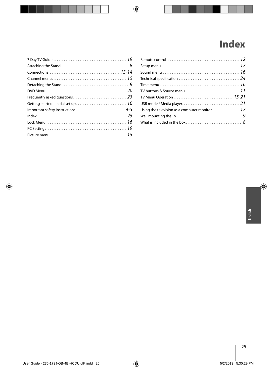# **Index**

| TV buttons & Source menu $\ldots \ldots \ldots \ldots \ldots \ldots \ldots \ldots \ldots 11$ |  |
|----------------------------------------------------------------------------------------------|--|
|                                                                                              |  |
|                                                                                              |  |
|                                                                                              |  |
|                                                                                              |  |
|                                                                                              |  |